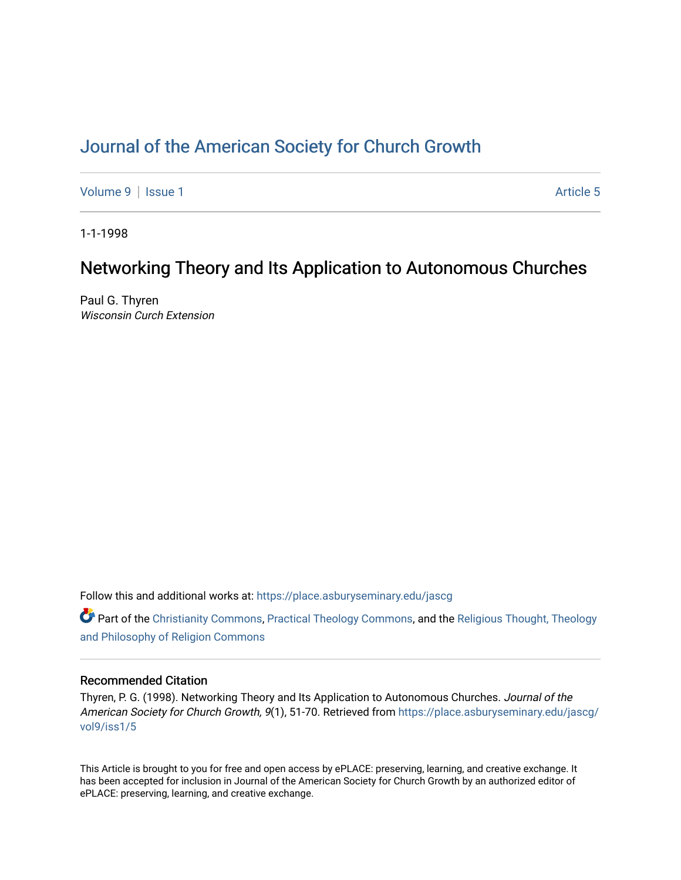# [Journal of the American Society for Church Growth](https://place.asburyseminary.edu/jascg)

[Volume 9](https://place.asburyseminary.edu/jascg/vol9) | [Issue 1](https://place.asburyseminary.edu/jascg/vol9/iss1) Article 5

1-1-1998

# Networking Theory and Its Application to Autonomous Churches

Paul G. Thyren Wisconsin Curch Extension

Follow this and additional works at: [https://place.asburyseminary.edu/jascg](https://place.asburyseminary.edu/jascg?utm_source=place.asburyseminary.edu%2Fjascg%2Fvol9%2Fiss1%2F5&utm_medium=PDF&utm_campaign=PDFCoverPages)

 $\bullet$  Part of the [Christianity Commons,](https://network.bepress.com/hgg/discipline/1181?utm_source=place.asburyseminary.edu%2Fjascg%2Fvol9%2Fiss1%2F5&utm_medium=PDF&utm_campaign=PDFCoverPages) [Practical Theology Commons](https://network.bepress.com/hgg/discipline/1186?utm_source=place.asburyseminary.edu%2Fjascg%2Fvol9%2Fiss1%2F5&utm_medium=PDF&utm_campaign=PDFCoverPages), and the Religious Thought, Theology [and Philosophy of Religion Commons](https://network.bepress.com/hgg/discipline/544?utm_source=place.asburyseminary.edu%2Fjascg%2Fvol9%2Fiss1%2F5&utm_medium=PDF&utm_campaign=PDFCoverPages)

# Recommended Citation

Thyren, P. G. (1998). Networking Theory and Its Application to Autonomous Churches. Journal of the American Society for Church Growth, 9(1), 51-70. Retrieved from [https://place.asburyseminary.edu/jascg/](https://place.asburyseminary.edu/jascg/vol9/iss1/5?utm_source=place.asburyseminary.edu%2Fjascg%2Fvol9%2Fiss1%2F5&utm_medium=PDF&utm_campaign=PDFCoverPages) [vol9/iss1/5](https://place.asburyseminary.edu/jascg/vol9/iss1/5?utm_source=place.asburyseminary.edu%2Fjascg%2Fvol9%2Fiss1%2F5&utm_medium=PDF&utm_campaign=PDFCoverPages) 

This Article is brought to you for free and open access by ePLACE: preserving, learning, and creative exchange. It has been accepted for inclusion in Journal of the American Society for Church Growth by an authorized editor of ePLACE: preserving, learning, and creative exchange.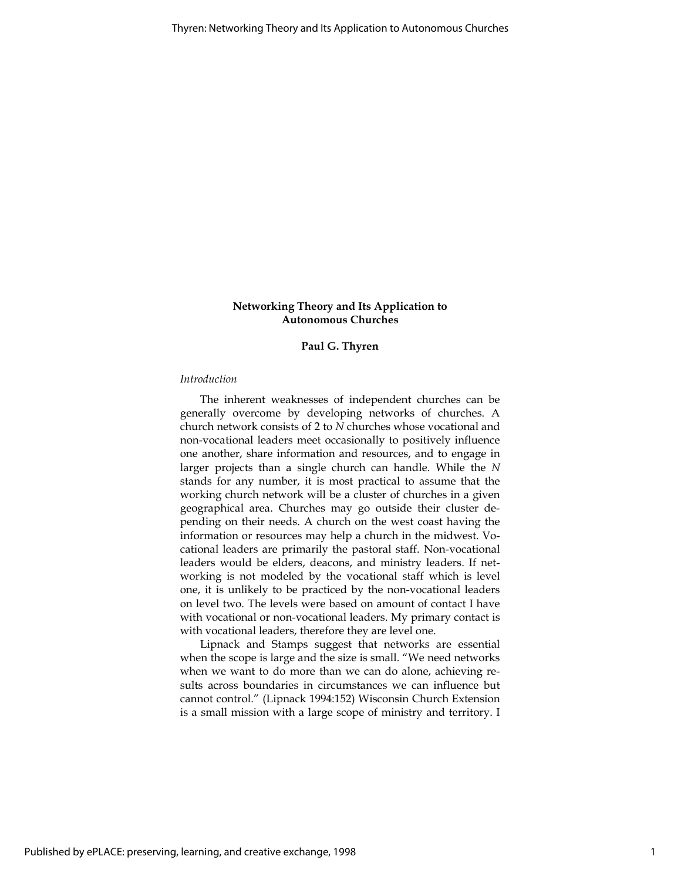# Networking Theory and Its Application to Autonomous Churches

# Paul G. Thyren

#### Introduction

The inherent weaknesses of independent churches can be generally overcome by developing networks of churches. A church network consists of 2 to N churches whose vocational and non-vocational leaders meet occasionally to positively influence one another, share information and resources, and to engage in larger projects than a single church can handle. While the N stands for any number, it is most practical to assume that the working church network will be a cluster of churches in a given geographical area. Churches may go outside their cluster depending on their needs. A church on the west coast having the information or resources may help a church in the midwest. Vocational leaders are primarily the pastoral staff. Non-vocational leaders would be elders, deacons, and ministry leaders. If networking is not modeled by the vocational staff which is level one, it is unlikely to be practiced by the non-vocational leaders on level two. The levels were based on amount of contact I have with vocational or non-vocational leaders. My primary contact is with vocational leaders, therefore they are level one.

Lipnack and Stamps suggest that networks are essential when the scope is large and the size is small. "We need networks when we want to do more than we can do alone, achieving results across boundaries in circumstances we can influence but cannot control." (Lipnack 1994:152) Wisconsin Church Extension is a small mission with a large scope of ministry and territory. I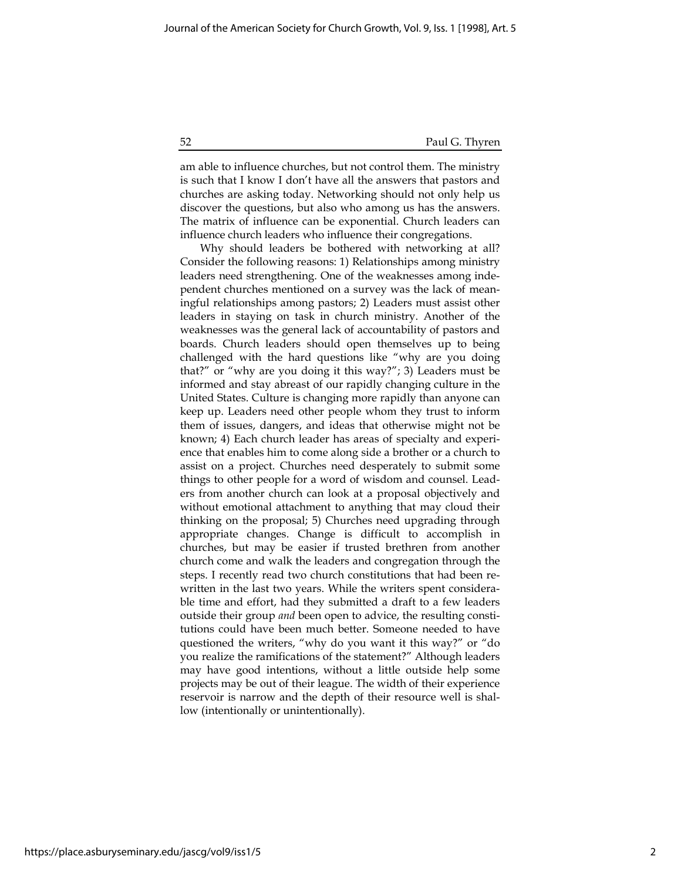am able to influence churches, but not control them. The ministry is such that I know I don't have all the answers that pastors and churches are asking today. Networking should not only help us discover the questions, but also who among us has the answers. The matrix of influence can be exponential. Church leaders can influence church leaders who influence their congregations.

Why should leaders be bothered with networking at all? Consider the following reasons: 1) Relationships among ministry leaders need strengthening. One of the weaknesses among independent churches mentioned on a survey was the lack of meaningful relationships among pastors; 2) Leaders must assist other leaders in staying on task in church ministry. Another of the weaknesses was the general lack of accountability of pastors and boards. Church leaders should open themselves up to being challenged with the hard questions like "why are you doing that?" or "why are you doing it this way?"; 3) Leaders must be informed and stay abreast of our rapidly changing culture in the United States. Culture is changing more rapidly than anyone can keep up. Leaders need other people whom they trust to inform them of issues, dangers, and ideas that otherwise might not be known; 4) Each church leader has areas of specialty and experience that enables him to come along side a brother or a church to assist on a project. Churches need desperately to submit some things to other people for a word of wisdom and counsel. Leaders from another church can look at a proposal objectively and without emotional attachment to anything that may cloud their thinking on the proposal; 5) Churches need upgrading through appropriate changes. Change is difficult to accomplish in churches, but may be easier if trusted brethren from another church come and walk the leaders and congregation through the steps. I recently read two church constitutions that had been rewritten in the last two years. While the writers spent considerable time and effort, had they submitted a draft to a few leaders outside their group and been open to advice, the resulting constitutions could have been much better. Someone needed to have questioned the writers, "why do you want it this way?" or "do you realize the ramifications of the statement?" Although leaders may have good intentions, without a little outside help some projects may be out of their league. The width of their experience reservoir is narrow and the depth of their resource well is shallow (intentionally or unintentionally).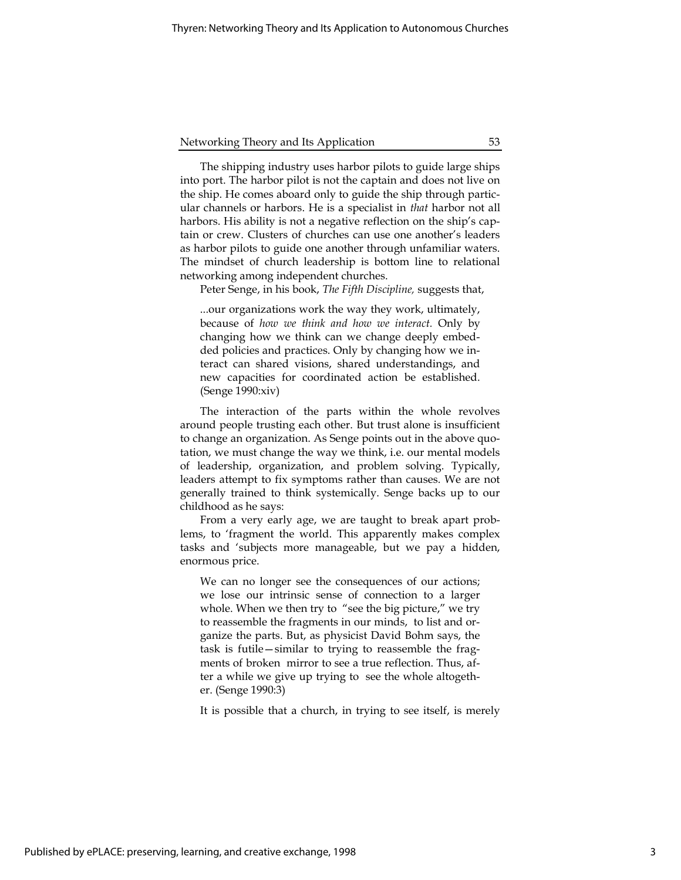The shipping industry uses harbor pilots to guide large ships into port. The harbor pilot is not the captain and does not live on the ship. He comes aboard only to guide the ship through particular channels or harbors. He is a specialist in that harbor not all harbors. His ability is not a negative reflection on the ship's captain or crew. Clusters of churches can use one another's leaders as harbor pilots to guide one another through unfamiliar waters. The mindset of church leadership is bottom line to relational networking among independent churches.

Peter Senge, in his book, The Fifth Discipline, suggests that,

...our organizations work the way they work, ultimately, because of how we think and how we interact. Only by changing how we think can we change deeply embedded policies and practices. Only by changing how we interact can shared visions, shared understandings, and new capacities for coordinated action be established. (Senge 1990:xiv)

The interaction of the parts within the whole revolves around people trusting each other. But trust alone is insufficient to change an organization. As Senge points out in the above quotation, we must change the way we think, i.e. our mental models of leadership, organization, and problem solving. Typically, leaders attempt to fix symptoms rather than causes. We are not generally trained to think systemically. Senge backs up to our childhood as he says:

From a very early age, we are taught to break apart problems, to 'fragment the world. This apparently makes complex tasks and 'subjects more manageable, but we pay a hidden, enormous price.

We can no longer see the consequences of our actions; we lose our intrinsic sense of connection to a larger whole. When we then try to "see the big picture," we try to reassemble the fragments in our minds, to list and organize the parts. But, as physicist David Bohm says, the task is futile—similar to trying to reassemble the fragments of broken mirror to see a true reflection. Thus, after a while we give up trying to see the whole altogether. (Senge 1990:3)

It is possible that a church, in trying to see itself, is merely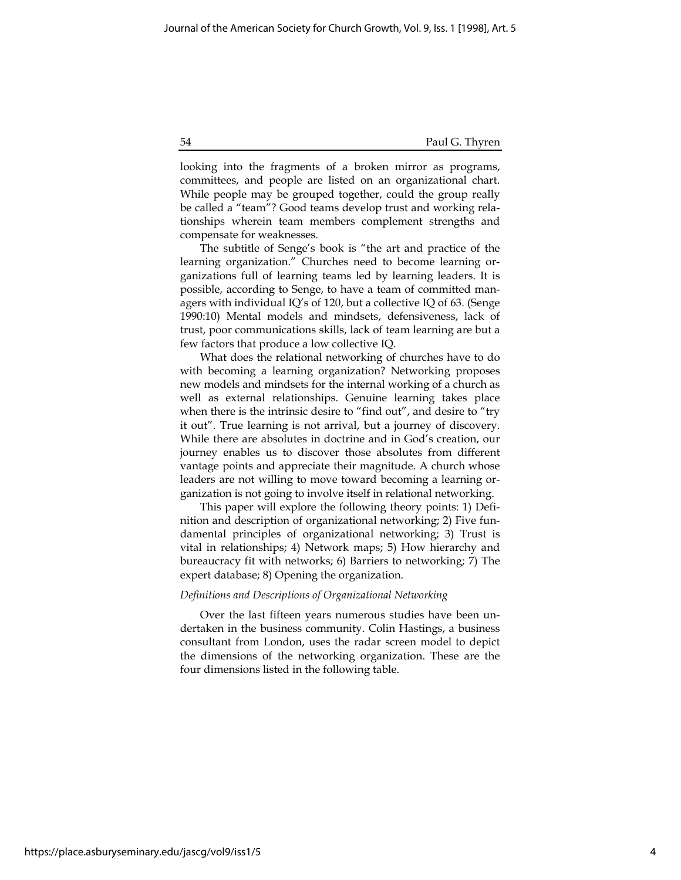looking into the fragments of a broken mirror as programs, committees, and people are listed on an organizational chart. While people may be grouped together, could the group really be called a "team"? Good teams develop trust and working relationships wherein team members complement strengths and compensate for weaknesses.

The subtitle of Senge's book is "the art and practice of the learning organization." Churches need to become learning organizations full of learning teams led by learning leaders. It is possible, according to Senge, to have a team of committed managers with individual IQ's of 120, but a collective IQ of 63. (Senge 1990:10) Mental models and mindsets, defensiveness, lack of trust, poor communications skills, lack of team learning are but a few factors that produce a low collective IQ.

What does the relational networking of churches have to do with becoming a learning organization? Networking proposes new models and mindsets for the internal working of a church as well as external relationships. Genuine learning takes place when there is the intrinsic desire to "find out", and desire to "try it out". True learning is not arrival, but a journey of discovery. While there are absolutes in doctrine and in God's creation, our journey enables us to discover those absolutes from different vantage points and appreciate their magnitude. A church whose leaders are not willing to move toward becoming a learning organization is not going to involve itself in relational networking.

This paper will explore the following theory points: 1) Definition and description of organizational networking; 2) Five fundamental principles of organizational networking; 3) Trust is vital in relationships; 4) Network maps; 5) How hierarchy and bureaucracy fit with networks; 6) Barriers to networking; 7) The expert database; 8) Opening the organization.

#### Definitions and Descriptions of Organizational Networking

Over the last fifteen years numerous studies have been undertaken in the business community. Colin Hastings, a business consultant from London, uses the radar screen model to depict the dimensions of the networking organization. These are the four dimensions listed in the following table.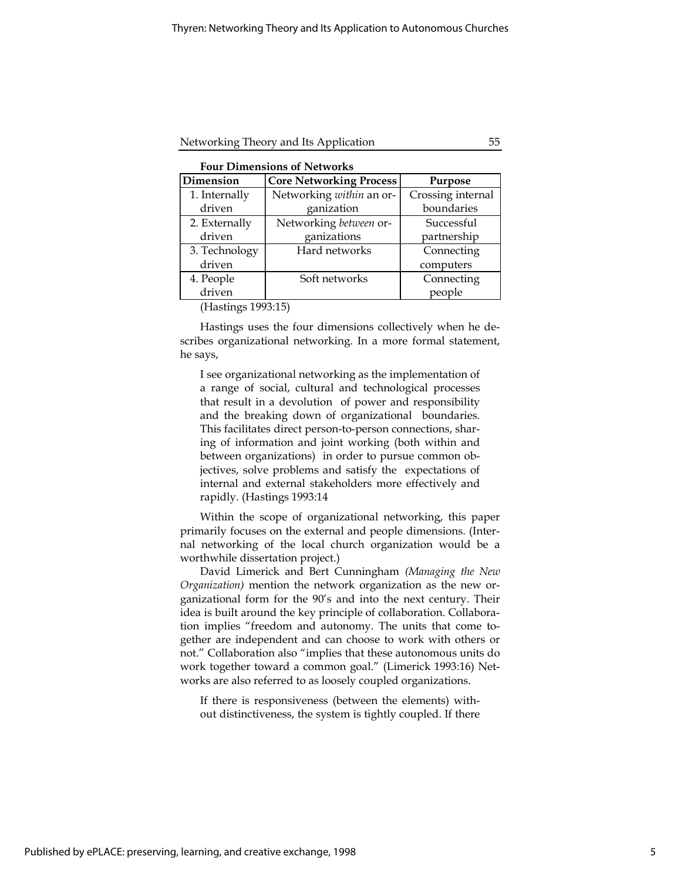| <b>Four Dimensions of Networks</b> |                   |  |
|------------------------------------|-------------------|--|
|                                    | المتوارد المساحسة |  |

| Dimension     | <b>Core Networking Process</b> | Purpose           |  |
|---------------|--------------------------------|-------------------|--|
| 1. Internally | Networking within an or-       | Crossing internal |  |
| driven        | ganization                     | boundaries        |  |
| 2. Externally | Networking between or-         | Successful        |  |
| driven        | ganizations                    | partnership       |  |
| 3. Technology | Hard networks                  | Connecting        |  |
| driven        |                                | computers         |  |
| 4. People     | Soft networks                  | Connecting        |  |
| driven        |                                | people            |  |

(Hastings 1993:15)

Hastings uses the four dimensions collectively when he describes organizational networking. In a more formal statement, he says,

I see organizational networking as the implementation of a range of social, cultural and technological processes that result in a devolution of power and responsibility and the breaking down of organizational boundaries. This facilitates direct person-to-person connections, sharing of information and joint working (both within and between organizations) in order to pursue common objectives, solve problems and satisfy the expectations of internal and external stakeholders more effectively and rapidly. (Hastings 1993:14

Within the scope of organizational networking, this paper primarily focuses on the external and people dimensions. (Internal networking of the local church organization would be a worthwhile dissertation project.)

David Limerick and Bert Cunningham (Managing the New Organization) mention the network organization as the new organizational form for the 90's and into the next century. Their idea is built around the key principle of collaboration. Collaboration implies "freedom and autonomy. The units that come together are independent and can choose to work with others or not." Collaboration also "implies that these autonomous units do work together toward a common goal." (Limerick 1993:16) Networks are also referred to as loosely coupled organizations.

If there is responsiveness (between the elements) without distinctiveness, the system is tightly coupled. If there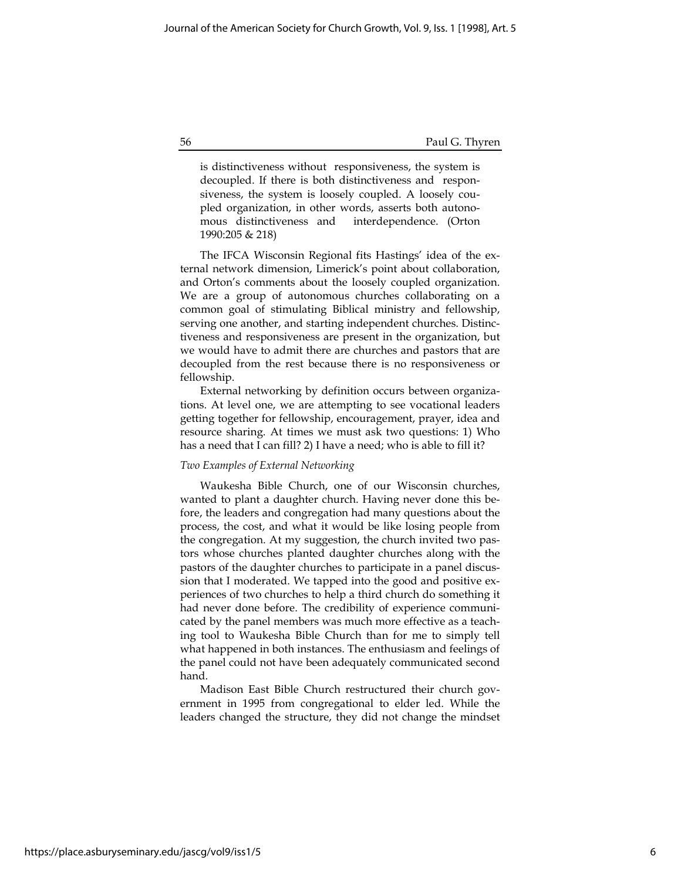is distinctiveness without responsiveness, the system is decoupled. If there is both distinctiveness and responsiveness, the system is loosely coupled. A loosely coupled organization, in other words, asserts both autonomous distinctiveness and interdependence. (Orton 1990:205 & 218)

The IFCA Wisconsin Regional fits Hastings' idea of the external network dimension, Limerick's point about collaboration, and Orton's comments about the loosely coupled organization. We are a group of autonomous churches collaborating on a common goal of stimulating Biblical ministry and fellowship, serving one another, and starting independent churches. Distinctiveness and responsiveness are present in the organization, but we would have to admit there are churches and pastors that are decoupled from the rest because there is no responsiveness or fellowship.

External networking by definition occurs between organizations. At level one, we are attempting to see vocational leaders getting together for fellowship, encouragement, prayer, idea and resource sharing. At times we must ask two questions: 1) Who has a need that I can fill? 2) I have a need; who is able to fill it?

#### Two Examples of External Networking

Waukesha Bible Church, one of our Wisconsin churches, wanted to plant a daughter church. Having never done this before, the leaders and congregation had many questions about the process, the cost, and what it would be like losing people from the congregation. At my suggestion, the church invited two pastors whose churches planted daughter churches along with the pastors of the daughter churches to participate in a panel discussion that I moderated. We tapped into the good and positive experiences of two churches to help a third church do something it had never done before. The credibility of experience communicated by the panel members was much more effective as a teaching tool to Waukesha Bible Church than for me to simply tell what happened in both instances. The enthusiasm and feelings of the panel could not have been adequately communicated second hand.

Madison East Bible Church restructured their church government in 1995 from congregational to elder led. While the leaders changed the structure, they did not change the mindset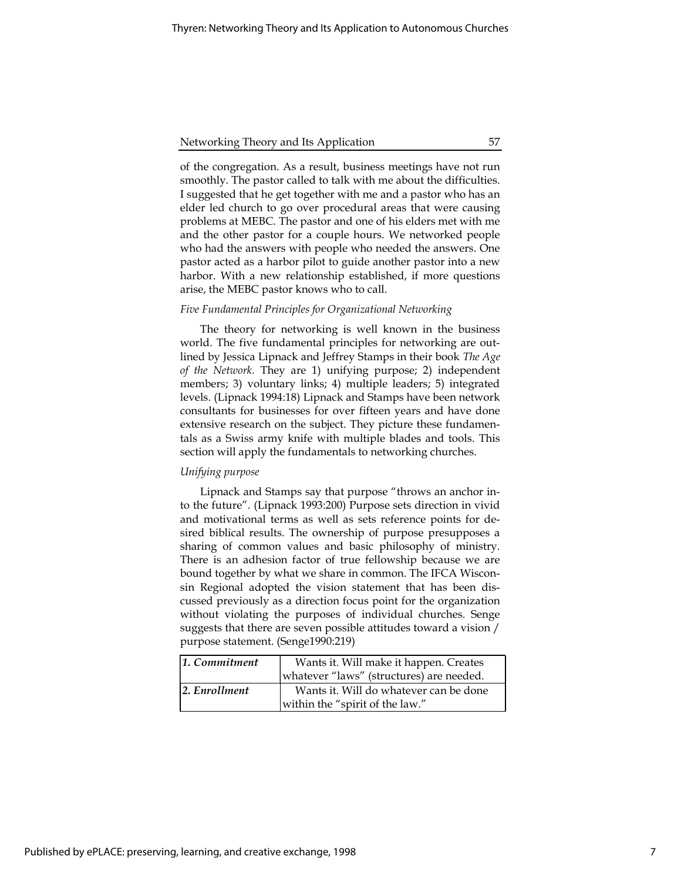of the congregation. As a result, business meetings have not run smoothly. The pastor called to talk with me about the difficulties. I suggested that he get together with me and a pastor who has an elder led church to go over procedural areas that were causing problems at MEBC. The pastor and one of his elders met with me and the other pastor for a couple hours. We networked people who had the answers with people who needed the answers. One pastor acted as a harbor pilot to guide another pastor into a new harbor. With a new relationship established, if more questions arise, the MEBC pastor knows who to call.

# Five Fundamental Principles for Organizational Networking

The theory for networking is well known in the business world. The five fundamental principles for networking are outlined by Jessica Lipnack and Jeffrey Stamps in their book The Age of the Network. They are 1) unifying purpose; 2) independent members; 3) voluntary links; 4) multiple leaders; 5) integrated levels. (Lipnack 1994:18) Lipnack and Stamps have been network consultants for businesses for over fifteen years and have done extensive research on the subject. They picture these fundamentals as a Swiss army knife with multiple blades and tools. This section will apply the fundamentals to networking churches.

#### Unifying purpose

Lipnack and Stamps say that purpose "throws an anchor into the future". (Lipnack 1993:200) Purpose sets direction in vivid and motivational terms as well as sets reference points for desired biblical results. The ownership of purpose presupposes a sharing of common values and basic philosophy of ministry. There is an adhesion factor of true fellowship because we are bound together by what we share in common. The IFCA Wisconsin Regional adopted the vision statement that has been discussed previously as a direction focus point for the organization without violating the purposes of individual churches. Senge suggests that there are seven possible attitudes toward a vision / purpose statement. (Senge1990:219)

| 1. Commitment | Wants it. Will make it happen. Creates   |  |
|---------------|------------------------------------------|--|
|               | whatever "laws" (structures) are needed. |  |
| 2. Enrollment | Wants it. Will do whatever can be done   |  |
|               | within the "spirit of the law."          |  |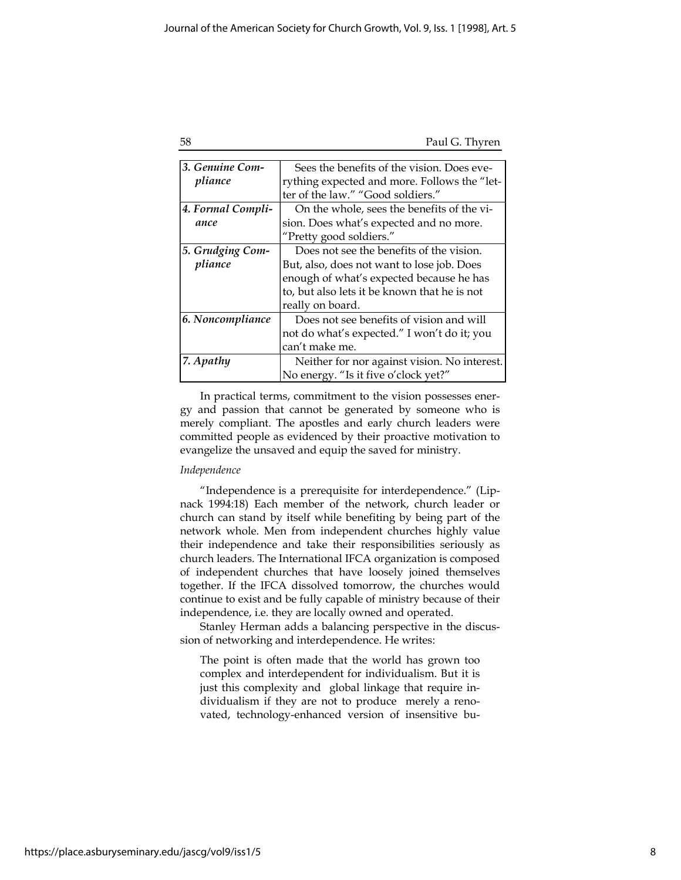|        | I |             |  |  |
|--------|---|-------------|--|--|
|        | v | t           |  |  |
| I<br>I | × | I<br>I<br>٧ |  |  |
|        |   |             |  |  |

| 58 | Paul G. Thyren |
|----|----------------|
|    |                |

| 3. Genuine Com-   | Sees the benefits of the vision. Does eve-   |  |
|-------------------|----------------------------------------------|--|
| pliance           | rything expected and more. Follows the "let- |  |
|                   | ter of the law." "Good soldiers."            |  |
| 4. Formal Compli- | On the whole, sees the benefits of the vi-   |  |
| ance              | sion. Does what's expected and no more.      |  |
|                   | "Pretty good soldiers."                      |  |
| 5. Grudging Com-  | Does not see the benefits of the vision.     |  |
| pliance           | But, also, does not want to lose job. Does   |  |
|                   | enough of what's expected because he has     |  |
|                   | to, but also lets it be known that he is not |  |
|                   | really on board.                             |  |
| 6. Noncompliance  | Does not see benefits of vision and will     |  |
|                   | not do what's expected." I won't do it; you  |  |
|                   | can't make me.                               |  |
| 7. Apathy         | Neither for nor against vision. No interest. |  |
|                   | No energy. "Is it five o'clock yet?"         |  |

In practical terms, commitment to the vision possesses energy and passion that cannot be generated by someone who is merely compliant. The apostles and early church leaders were committed people as evidenced by their proactive motivation to evangelize the unsaved and equip the saved for ministry.

# Independence

"Independence is a prerequisite for interdependence." (Lipnack 1994:18) Each member of the network, church leader or church can stand by itself while benefiting by being part of the network whole. Men from independent churches highly value their independence and take their responsibilities seriously as church leaders. The International IFCA organization is composed of independent churches that have loosely joined themselves together. If the IFCA dissolved tomorrow, the churches would continue to exist and be fully capable of ministry because of their independence, i.e. they are locally owned and operated.

Stanley Herman adds a balancing perspective in the discussion of networking and interdependence. He writes:

The point is often made that the world has grown too complex and interdependent for individualism. But it is just this complexity and global linkage that require individualism if they are not to produce merely a renovated, technology-enhanced version of insensitive bu-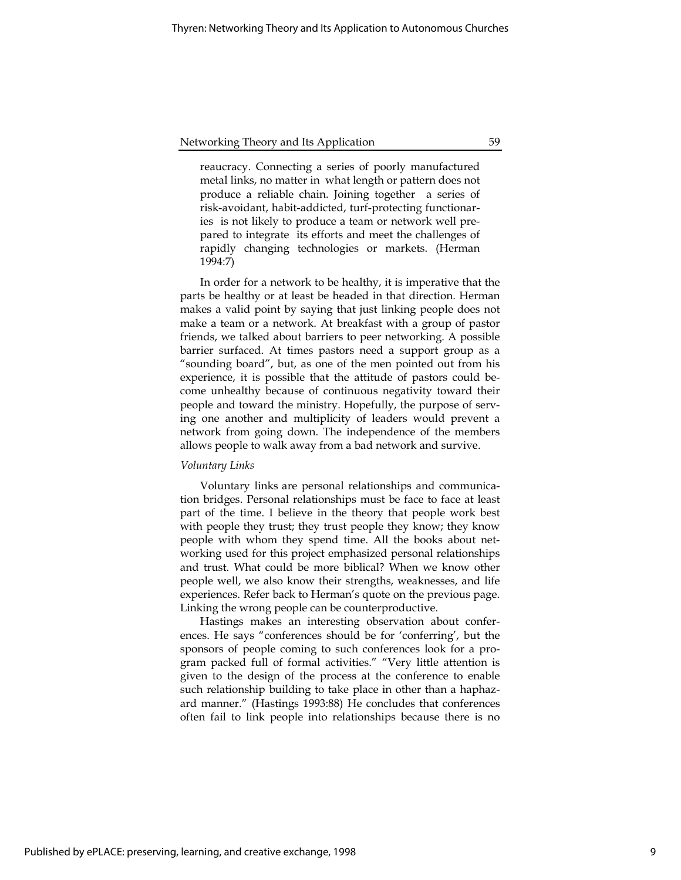reaucracy. Connecting a series of poorly manufactured metal links, no matter in what length or pattern does not produce a reliable chain. Joining together a series of risk-avoidant, habit-addicted, turf-protecting functionaries is not likely to produce a team or network well prepared to integrate its efforts and meet the challenges of rapidly changing technologies or markets. (Herman 1994:7)

In order for a network to be healthy, it is imperative that the parts be healthy or at least be headed in that direction. Herman makes a valid point by saying that just linking people does not make a team or a network. At breakfast with a group of pastor friends, we talked about barriers to peer networking. A possible barrier surfaced. At times pastors need a support group as a "sounding board", but, as one of the men pointed out from his experience, it is possible that the attitude of pastors could become unhealthy because of continuous negativity toward their people and toward the ministry. Hopefully, the purpose of serving one another and multiplicity of leaders would prevent a network from going down. The independence of the members allows people to walk away from a bad network and survive.

#### Voluntary Links

Voluntary links are personal relationships and communication bridges. Personal relationships must be face to face at least part of the time. I believe in the theory that people work best with people they trust; they trust people they know; they know people with whom they spend time. All the books about networking used for this project emphasized personal relationships and trust. What could be more biblical? When we know other people well, we also know their strengths, weaknesses, and life experiences. Refer back to Herman's quote on the previous page. Linking the wrong people can be counterproductive.

Hastings makes an interesting observation about conferences. He says "conferences should be for 'conferring', but the sponsors of people coming to such conferences look for a program packed full of formal activities." "Very little attention is given to the design of the process at the conference to enable such relationship building to take place in other than a haphazard manner." (Hastings 1993:88) He concludes that conferences often fail to link people into relationships because there is no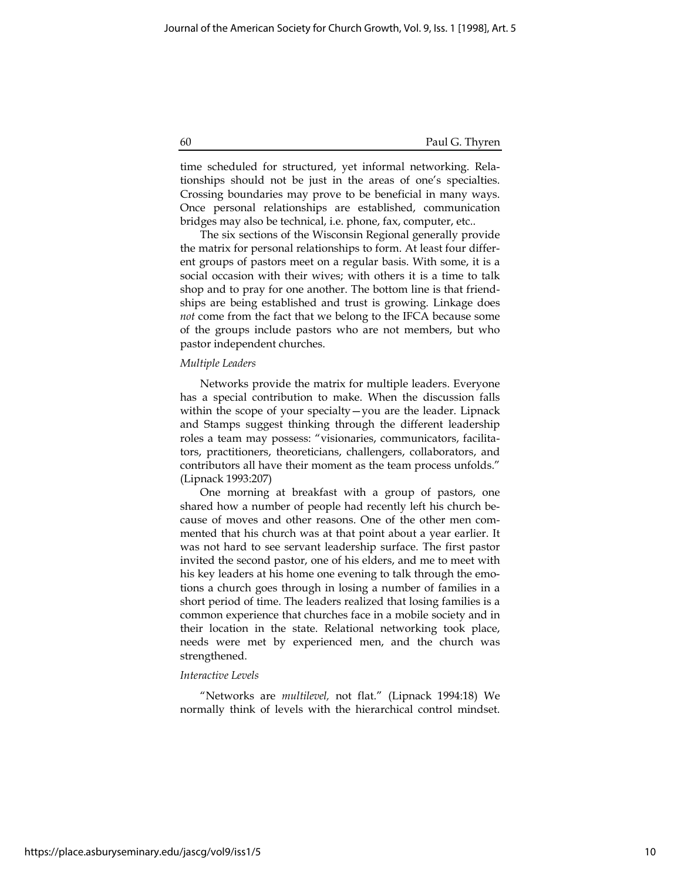time scheduled for structured, yet informal networking. Relationships should not be just in the areas of one's specialties. Crossing boundaries may prove to be beneficial in many ways. Once personal relationships are established, communication bridges may also be technical, i.e. phone, fax, computer, etc..

The six sections of the Wisconsin Regional generally provide the matrix for personal relationships to form. At least four different groups of pastors meet on a regular basis. With some, it is a social occasion with their wives; with others it is a time to talk shop and to pray for one another. The bottom line is that friendships are being established and trust is growing. Linkage does not come from the fact that we belong to the IFCA because some of the groups include pastors who are not members, but who pastor independent churches.

#### Multiple Leaders

Networks provide the matrix for multiple leaders. Everyone has a special contribution to make. When the discussion falls within the scope of your specialty—you are the leader. Lipnack and Stamps suggest thinking through the different leadership roles a team may possess: "visionaries, communicators, facilitators, practitioners, theoreticians, challengers, collaborators, and contributors all have their moment as the team process unfolds." (Lipnack 1993:207)

One morning at breakfast with a group of pastors, one shared how a number of people had recently left his church because of moves and other reasons. One of the other men commented that his church was at that point about a year earlier. It was not hard to see servant leadership surface. The first pastor invited the second pastor, one of his elders, and me to meet with his key leaders at his home one evening to talk through the emotions a church goes through in losing a number of families in a short period of time. The leaders realized that losing families is a common experience that churches face in a mobile society and in their location in the state. Relational networking took place, needs were met by experienced men, and the church was strengthened.

# Interactive Levels

"Networks are multilevel, not flat." (Lipnack 1994:18) We normally think of levels with the hierarchical control mindset.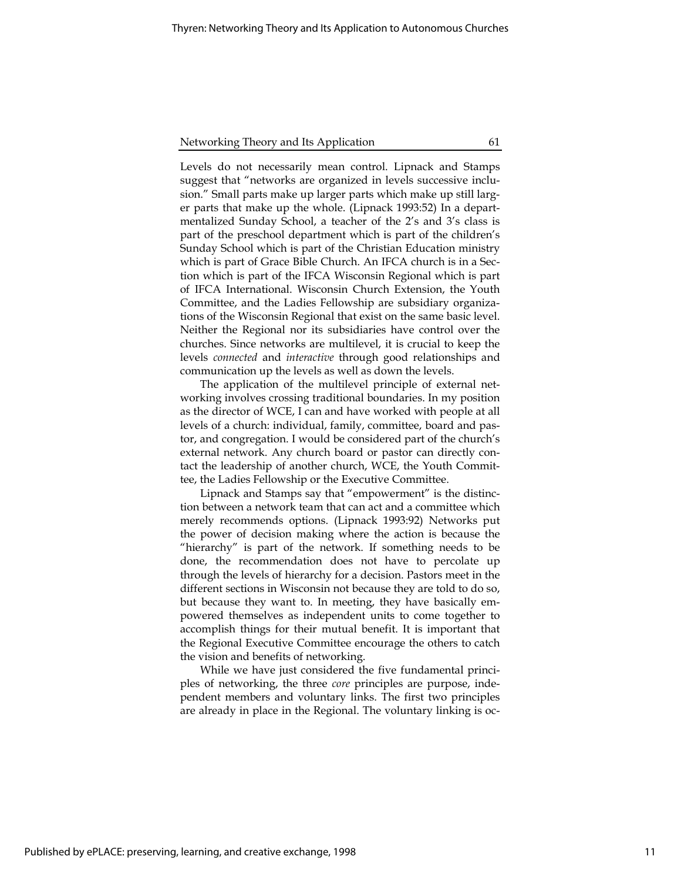Levels do not necessarily mean control. Lipnack and Stamps suggest that "networks are organized in levels successive inclusion." Small parts make up larger parts which make up still larger parts that make up the whole. (Lipnack 1993:52) In a departmentalized Sunday School, a teacher of the 2's and 3's class is part of the preschool department which is part of the children's Sunday School which is part of the Christian Education ministry which is part of Grace Bible Church. An IFCA church is in a Section which is part of the IFCA Wisconsin Regional which is part of IFCA International. Wisconsin Church Extension, the Youth Committee, and the Ladies Fellowship are subsidiary organizations of the Wisconsin Regional that exist on the same basic level. Neither the Regional nor its subsidiaries have control over the churches. Since networks are multilevel, it is crucial to keep the levels connected and interactive through good relationships and communication up the levels as well as down the levels.

The application of the multilevel principle of external networking involves crossing traditional boundaries. In my position as the director of WCE, I can and have worked with people at all levels of a church: individual, family, committee, board and pastor, and congregation. I would be considered part of the church's external network. Any church board or pastor can directly contact the leadership of another church, WCE, the Youth Committee, the Ladies Fellowship or the Executive Committee.

Lipnack and Stamps say that "empowerment" is the distinction between a network team that can act and a committee which merely recommends options. (Lipnack 1993:92) Networks put the power of decision making where the action is because the "hierarchy" is part of the network. If something needs to be done, the recommendation does not have to percolate up through the levels of hierarchy for a decision. Pastors meet in the different sections in Wisconsin not because they are told to do so, but because they want to. In meeting, they have basically empowered themselves as independent units to come together to accomplish things for their mutual benefit. It is important that the Regional Executive Committee encourage the others to catch the vision and benefits of networking.

While we have just considered the five fundamental principles of networking, the three core principles are purpose, independent members and voluntary links. The first two principles are already in place in the Regional. The voluntary linking is oc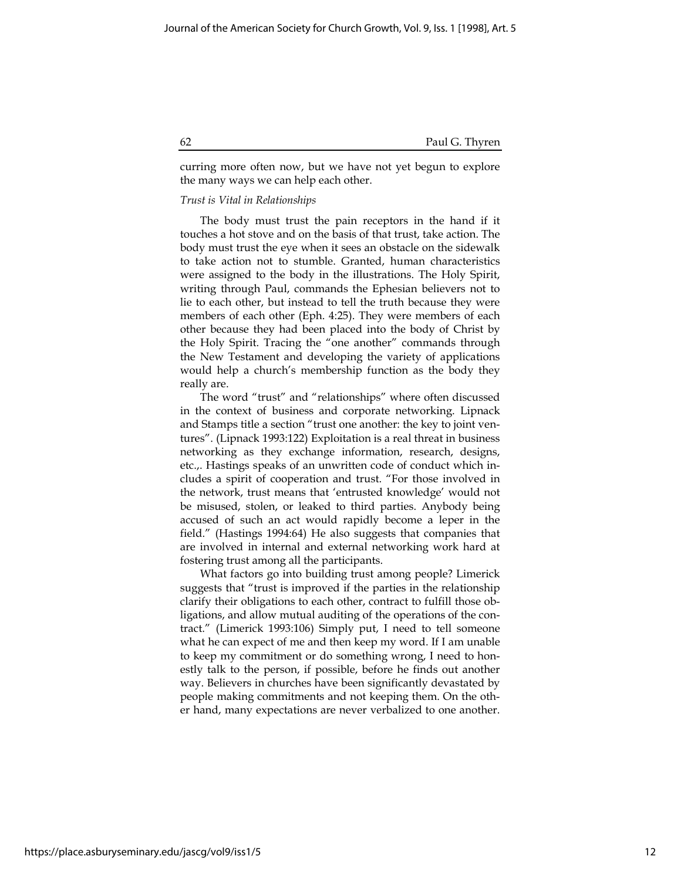curring more often now, but we have not yet begun to explore the many ways we can help each other.

### Trust is Vital in Relationships

The body must trust the pain receptors in the hand if it touches a hot stove and on the basis of that trust, take action. The body must trust the eye when it sees an obstacle on the sidewalk to take action not to stumble. Granted, human characteristics were assigned to the body in the illustrations. The Holy Spirit, writing through Paul, commands the Ephesian believers not to lie to each other, but instead to tell the truth because they were members of each other (Eph. 4:25). They were members of each other because they had been placed into the body of Christ by the Holy Spirit. Tracing the "one another" commands through the New Testament and developing the variety of applications would help a church's membership function as the body they really are.

The word "trust" and "relationships" where often discussed in the context of business and corporate networking. Lipnack and Stamps title a section "trust one another: the key to joint ventures". (Lipnack 1993:122) Exploitation is a real threat in business networking as they exchange information, research, designs, etc.,. Hastings speaks of an unwritten code of conduct which includes a spirit of cooperation and trust. "For those involved in the network, trust means that 'entrusted knowledge' would not be misused, stolen, or leaked to third parties. Anybody being accused of such an act would rapidly become a leper in the field." (Hastings 1994:64) He also suggests that companies that are involved in internal and external networking work hard at fostering trust among all the participants.

What factors go into building trust among people? Limerick suggests that "trust is improved if the parties in the relationship clarify their obligations to each other, contract to fulfill those obligations, and allow mutual auditing of the operations of the contract." (Limerick 1993:106) Simply put, I need to tell someone what he can expect of me and then keep my word. If I am unable to keep my commitment or do something wrong, I need to honestly talk to the person, if possible, before he finds out another way. Believers in churches have been significantly devastated by people making commitments and not keeping them. On the other hand, many expectations are never verbalized to one another.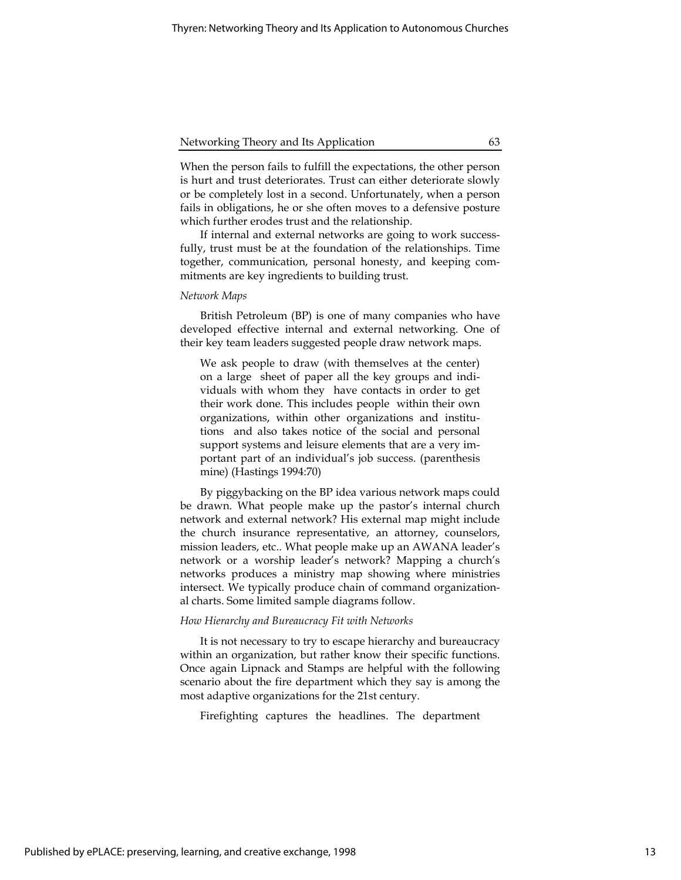When the person fails to fulfill the expectations, the other person is hurt and trust deteriorates. Trust can either deteriorate slowly or be completely lost in a second. Unfortunately, when a person fails in obligations, he or she often moves to a defensive posture which further erodes trust and the relationship.

If internal and external networks are going to work successfully, trust must be at the foundation of the relationships. Time together, communication, personal honesty, and keeping commitments are key ingredients to building trust.

#### Network Maps

British Petroleum (BP) is one of many companies who have developed effective internal and external networking. One of their key team leaders suggested people draw network maps.

We ask people to draw (with themselves at the center) on a large sheet of paper all the key groups and individuals with whom they have contacts in order to get their work done. This includes people within their own organizations, within other organizations and institutions and also takes notice of the social and personal support systems and leisure elements that are a very important part of an individual's job success. (parenthesis mine) (Hastings 1994:70)

By piggybacking on the BP idea various network maps could be drawn. What people make up the pastor's internal church network and external network? His external map might include the church insurance representative, an attorney, counselors, mission leaders, etc.. What people make up an AWANA leader's network or a worship leader's network? Mapping a church's networks produces a ministry map showing where ministries intersect. We typically produce chain of command organizational charts. Some limited sample diagrams follow.

#### How Hierarchy and Bureaucracy Fit with Networks

It is not necessary to try to escape hierarchy and bureaucracy within an organization, but rather know their specific functions. Once again Lipnack and Stamps are helpful with the following scenario about the fire department which they say is among the most adaptive organizations for the 21st century.

Firefighting captures the headlines. The department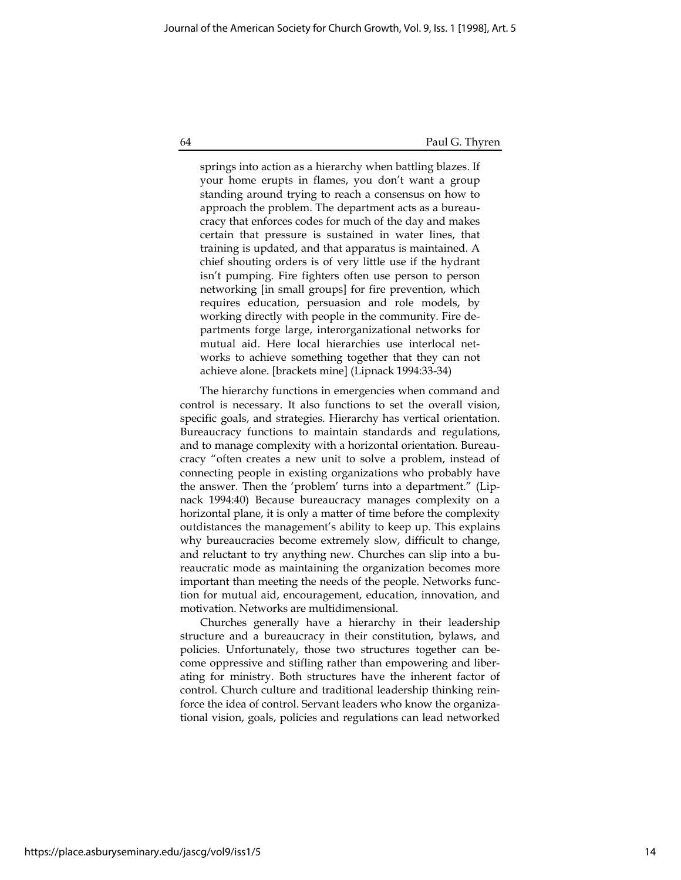springs into action as a hierarchy when battling blazes. If your home erupts in flames, you don't want a group standing around trying to reach a consensus on how to approach the problem. The department acts as a bureaucracy that enforces codes for much of the day and makes certain that pressure is sustained in water lines, that training is updated, and that apparatus is maintained. A chief shouting orders is of very little use if the hydrant isn't pumping. Fire fighters often use person to person networking [in small groups] for fire prevention, which requires education, persuasion and role models, by working directly with people in the community. Fire departments forge large, interorganizational networks for mutual aid. Here local hierarchies use interlocal networks to achieve something together that they can not achieve alone. [brackets mine] (Lipnack 1994:33-34)

The hierarchy functions in emergencies when command and control is necessary. It also functions to set the overall vision, specific goals, and strategies. Hierarchy has vertical orientation. Bureaucracy functions to maintain standards and regulations, and to manage complexity with a horizontal orientation. Bureaucracy "often creates a new unit to solve a problem, instead of connecting people in existing organizations who probably have the answer. Then the 'problem' turns into a department." (Lipnack 1994:40) Because bureaucracy manages complexity on a horizontal plane, it is only a matter of time before the complexity outdistances the management's ability to keep up. This explains why bureaucracies become extremely slow, difficult to change, and reluctant to try anything new. Churches can slip into a bureaucratic mode as maintaining the organization becomes more important than meeting the needs of the people. Networks function for mutual aid, encouragement, education, innovation, and motivation. Networks are multidimensional.

Churches generally have a hierarchy in their leadership structure and a bureaucracy in their constitution, bylaws, and policies. Unfortunately, those two structures together can become oppressive and stifling rather than empowering and liberating for ministry. Both structures have the inherent factor of control. Church culture and traditional leadership thinking reinforce the idea of control. Servant leaders who know the organizational vision, goals, policies and regulations can lead networked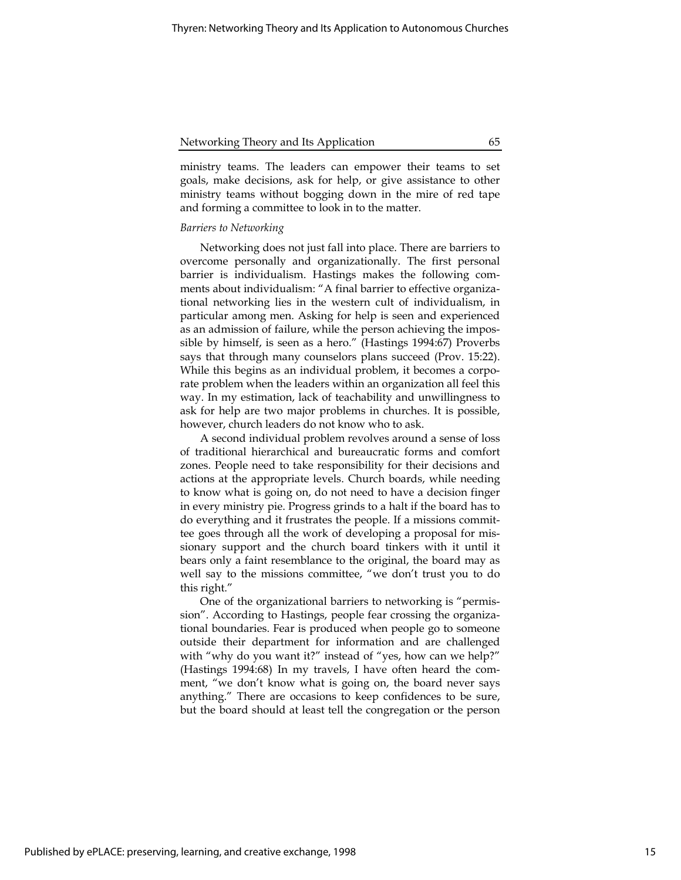ministry teams. The leaders can empower their teams to set goals, make decisions, ask for help, or give assistance to other ministry teams without bogging down in the mire of red tape and forming a committee to look in to the matter.

# Barriers to Networking

Networking does not just fall into place. There are barriers to overcome personally and organizationally. The first personal barrier is individualism. Hastings makes the following comments about individualism: "A final barrier to effective organizational networking lies in the western cult of individualism, in particular among men. Asking for help is seen and experienced as an admission of failure, while the person achieving the impossible by himself, is seen as a hero." (Hastings 1994:67) Proverbs says that through many counselors plans succeed (Prov. 15:22). While this begins as an individual problem, it becomes a corporate problem when the leaders within an organization all feel this way. In my estimation, lack of teachability and unwillingness to ask for help are two major problems in churches. It is possible, however, church leaders do not know who to ask.

A second individual problem revolves around a sense of loss of traditional hierarchical and bureaucratic forms and comfort zones. People need to take responsibility for their decisions and actions at the appropriate levels. Church boards, while needing to know what is going on, do not need to have a decision finger in every ministry pie. Progress grinds to a halt if the board has to do everything and it frustrates the people. If a missions committee goes through all the work of developing a proposal for missionary support and the church board tinkers with it until it bears only a faint resemblance to the original, the board may as well say to the missions committee, "we don't trust you to do this right."

One of the organizational barriers to networking is "permission". According to Hastings, people fear crossing the organizational boundaries. Fear is produced when people go to someone outside their department for information and are challenged with "why do you want it?" instead of "yes, how can we help?" (Hastings 1994:68) In my travels, I have often heard the comment, "we don't know what is going on, the board never says anything." There are occasions to keep confidences to be sure, but the board should at least tell the congregation or the person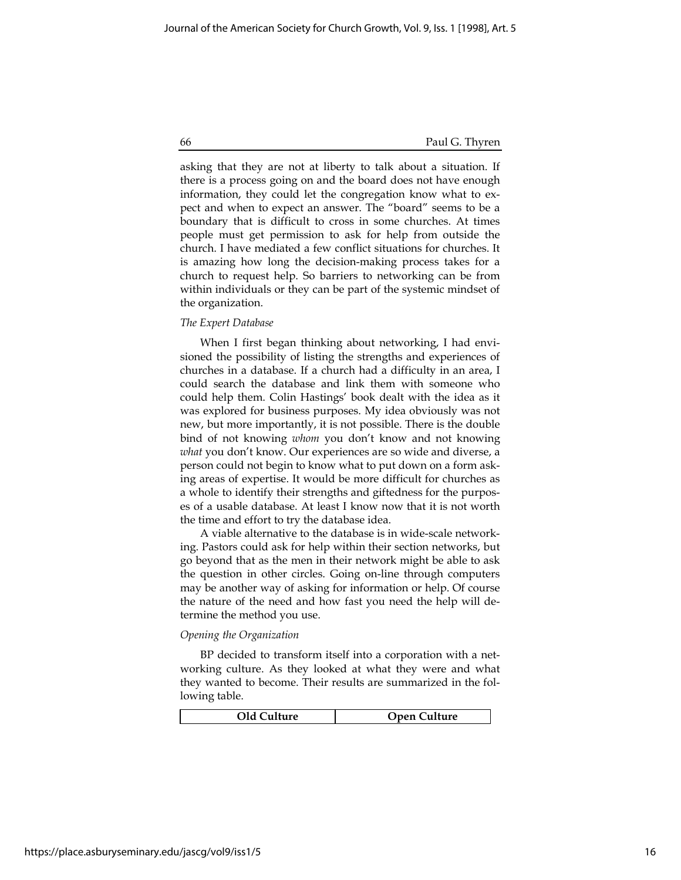asking that they are not at liberty to talk about a situation. If there is a process going on and the board does not have enough information, they could let the congregation know what to expect and when to expect an answer. The "board" seems to be a boundary that is difficult to cross in some churches. At times people must get permission to ask for help from outside the church. I have mediated a few conflict situations for churches. It is amazing how long the decision-making process takes for a church to request help. So barriers to networking can be from within individuals or they can be part of the systemic mindset of the organization.

# The Expert Database

When I first began thinking about networking, I had envisioned the possibility of listing the strengths and experiences of churches in a database. If a church had a difficulty in an area, I could search the database and link them with someone who could help them. Colin Hastings' book dealt with the idea as it was explored for business purposes. My idea obviously was not new, but more importantly, it is not possible. There is the double bind of not knowing whom you don't know and not knowing what you don't know. Our experiences are so wide and diverse, a person could not begin to know what to put down on a form asking areas of expertise. It would be more difficult for churches as a whole to identify their strengths and giftedness for the purposes of a usable database. At least I know now that it is not worth the time and effort to try the database idea.

A viable alternative to the database is in wide-scale networking. Pastors could ask for help within their section networks, but go beyond that as the men in their network might be able to ask the question in other circles. Going on-line through computers may be another way of asking for information or help. Of course the nature of the need and how fast you need the help will determine the method you use.

# Opening the Organization

BP decided to transform itself into a corporation with a networking culture. As they looked at what they were and what they wanted to become. Their results are summarized in the following table.

| Old Culture | <b>Open Culture</b> |
|-------------|---------------------|
|             |                     |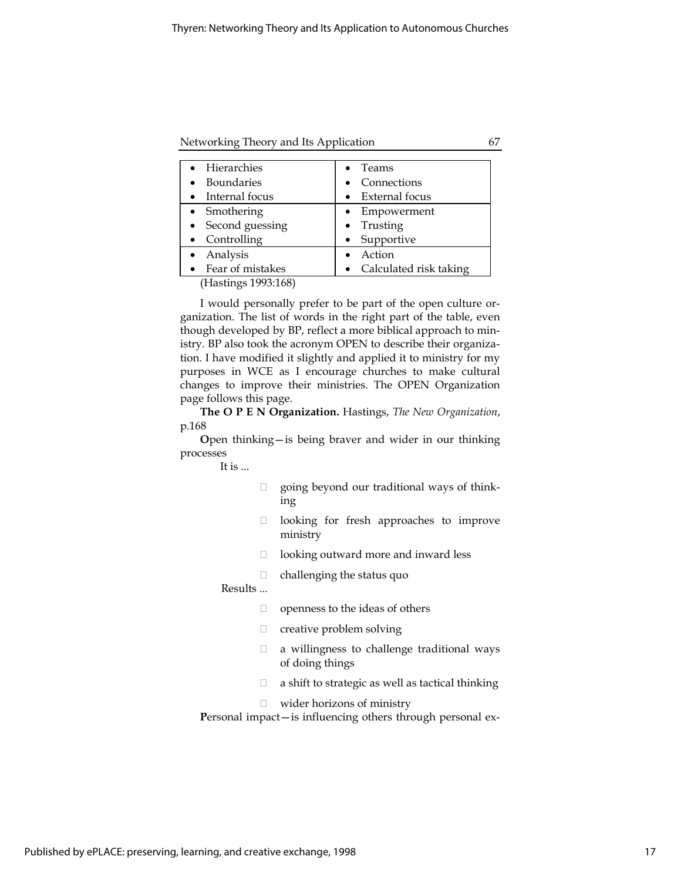Networking Theory and Its Application 67

| • Hierarchies                   | Teams                    |
|---------------------------------|--------------------------|
| <b>Boundaries</b>               | • Connections            |
| • Internal focus                | External focus           |
| • Smothering                    | Empowerment              |
| • Second guessing               | $\bullet$ Trusting       |
| Controlling                     | Supportive               |
| Analysis                        | Action                   |
| Fear of mistakes                | • Calculated risk taking |
| $(T_{\text{total}} = 1002.170)$ |                          |

(Hastings 1993:168)

I would personally prefer to be part of the open culture organization. The list of words in the right part of the table, even though developed by BP, reflect a more biblical approach to ministry. BP also took the acronym OPEN to describe their organization. I have modified it slightly and applied it to ministry for my purposes in WCE as I encourage churches to make cultural changes to improve their ministries. The OPEN Organization page follows this page.

The O P E N Organization. Hastings, The New Organization, p.168

Open thinking—is being braver and wider in our thinking processes

It is ...

- $\Box$  going beyond our traditional ways of thinking
- $\Box$  looking for fresh approaches to improve ministry
- $\Box$  looking outward more and inward less
- $\Box$  challenging the status quo
- Results ...
	- $\Box$  openness to the ideas of others
	- □ creative problem solving
	- $\Box$  a willingness to challenge traditional ways of doing things
	- $\Box$  a shift to strategic as well as tactical thinking
	- wider horizons of ministry

Personal impact—is influencing others through personal ex-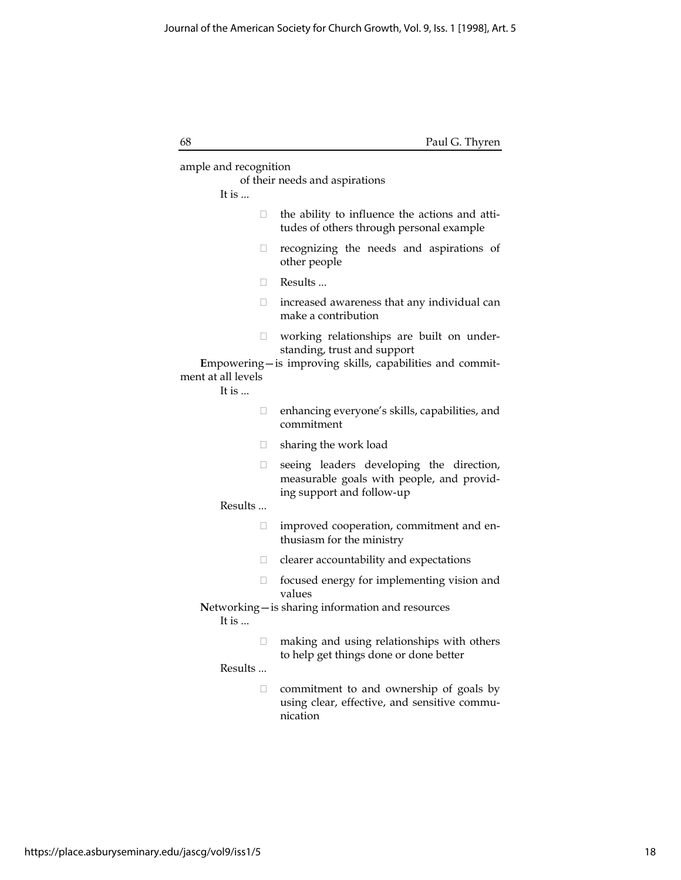| 68                    | Paul G. Thyren                                                                                                     |
|-----------------------|--------------------------------------------------------------------------------------------------------------------|
| ample and recognition | of their needs and aspirations                                                                                     |
| It is                 |                                                                                                                    |
| □                     | the ability to influence the actions and atti-<br>tudes of others through personal example                         |
| □                     | recognizing the needs and aspirations of<br>other people                                                           |
| П.                    | Results                                                                                                            |
| П.                    | increased awareness that any individual can<br>make a contribution                                                 |
| $\Box$                | working relationships are built on under-<br>standing, trust and support                                           |
|                       | Empowering-is improving skills, capabilities and commit-                                                           |
| ment at all levels    |                                                                                                                    |
| It is                 |                                                                                                                    |
| □                     | enhancing everyone's skills, capabilities, and<br>commitment                                                       |
| $\Box$                | sharing the work load                                                                                              |
| 0                     | seeing leaders developing the direction,<br>measurable goals with people, and provid-<br>ing support and follow-up |
| Results               |                                                                                                                    |
| П                     | improved cooperation, commitment and en-<br>thusiasm for the ministry                                              |
| u                     | clearer accountability and expectations                                                                            |
| O                     | focused energy for implementing vision and<br>values                                                               |
| It is                 | Networking - is sharing information and resources                                                                  |
| $\mathbf{L}$          | making and using relationships with others<br>to help get things done or done better                               |
| Results               |                                                                                                                    |
| П                     | commitment to and ownership of goals by<br>using clear, effective, and sensitive commu-<br>nication                |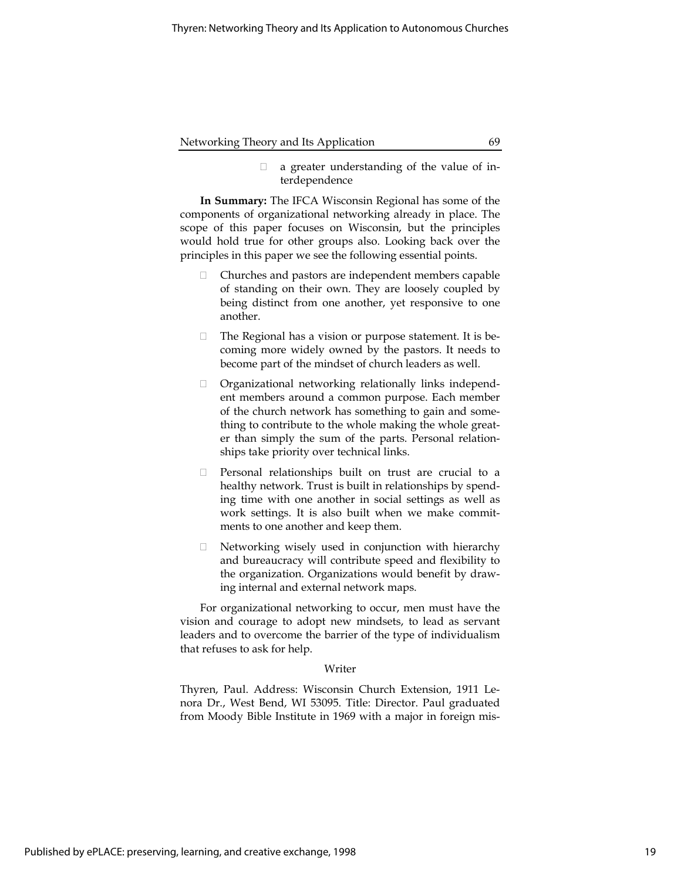$\Box$  a greater understanding of the value of interdependence

In Summary: The IFCA Wisconsin Regional has some of the components of organizational networking already in place. The scope of this paper focuses on Wisconsin, but the principles would hold true for other groups also. Looking back over the principles in this paper we see the following essential points.

- Churches and pastors are independent members capable of standing on their own. They are loosely coupled by being distinct from one another, yet responsive to one another.
- $\Box$  The Regional has a vision or purpose statement. It is becoming more widely owned by the pastors. It needs to become part of the mindset of church leaders as well.
- Organizational networking relationally links independent members around a common purpose. Each member of the church network has something to gain and something to contribute to the whole making the whole greater than simply the sum of the parts. Personal relationships take priority over technical links.
- $\Box$  Personal relationships built on trust are crucial to a healthy network. Trust is built in relationships by spending time with one another in social settings as well as work settings. It is also built when we make commitments to one another and keep them.
- $\Box$  Networking wisely used in conjunction with hierarchy and bureaucracy will contribute speed and flexibility to the organization. Organizations would benefit by drawing internal and external network maps.

For organizational networking to occur, men must have the vision and courage to adopt new mindsets, to lead as servant leaders and to overcome the barrier of the type of individualism that refuses to ask for help.

#### Writer

Thyren, Paul. Address: Wisconsin Church Extension, 1911 Lenora Dr., West Bend, WI 53095. Title: Director. Paul graduated from Moody Bible Institute in 1969 with a major in foreign mis-